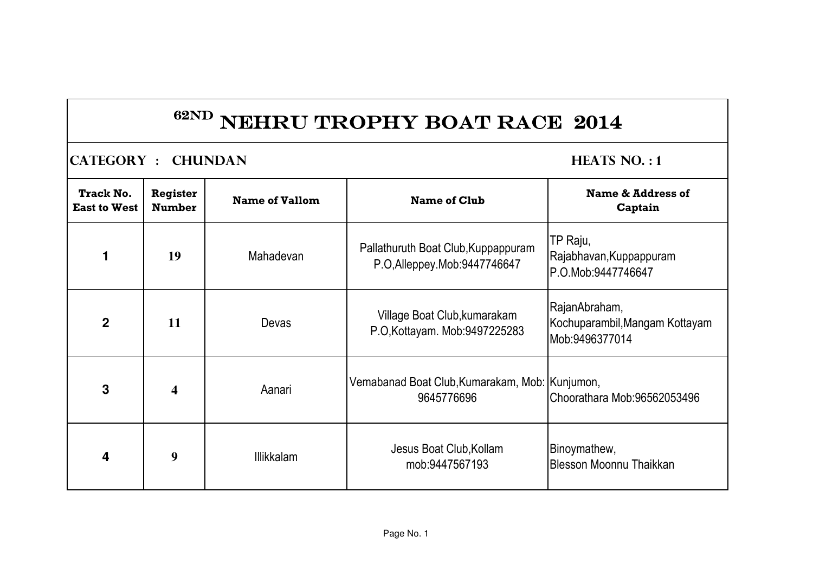**CATEGORY : CHUNDAN HEATS NO. : 1** 

| <b>Track No.</b><br><b>East to West</b> | <b>Register</b><br><b>Number</b> | <b>Name of Vallom</b> | <b>Name of Club</b>                                                   | Name & Address of<br>Captain                                      |
|-----------------------------------------|----------------------------------|-----------------------|-----------------------------------------------------------------------|-------------------------------------------------------------------|
| $\blacksquare$                          | 19                               | Mahadevan             | Pallathuruth Boat Club, Kuppappuram<br>P.O, Alleppey. Mob: 9447746647 | TP Raju,<br>Rajabhavan, Kuppappuram<br>P.O.Mob:9447746647         |
| $\overline{2}$                          | 11                               | Devas                 | Village Boat Club, kumarakam<br>P.O.Kottayam. Mob:9497225283          | RajanAbraham,<br>Kochuparambil, Mangam Kottayam<br>Mob:9496377014 |
| $\mathbf{3}$                            | $\overline{\mathbf{4}}$          | Aanari                | Vemabanad Boat Club, Kumarakam, Mob: Kunjumon,<br>9645776696          | Choorathara Mob:96562053496                                       |
| 4                                       | 9                                | <b>Illikkalam</b>     | Jesus Boat Club, Kollam<br>mob:9447567193                             | Binoymathew,<br>Blesson Moonnu Thaikkan                           |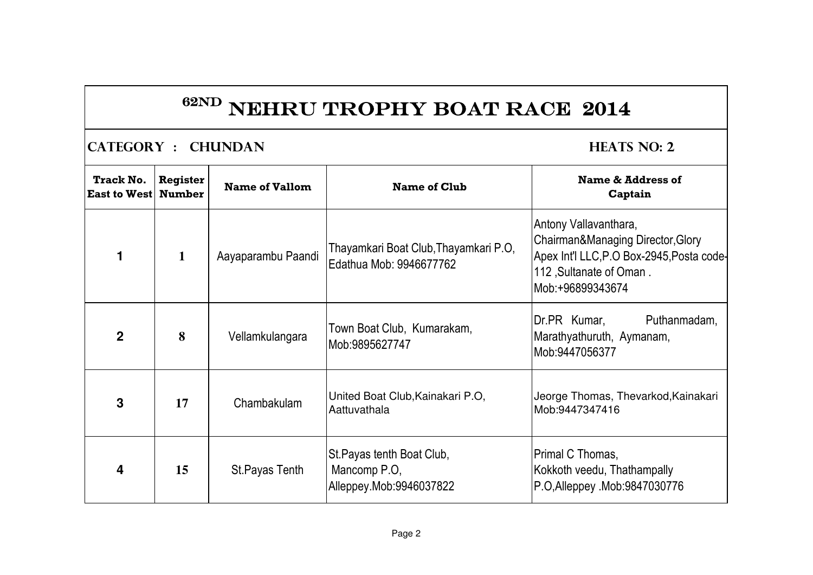**CATEGORY : CHUNDAN HEATS NO: 2** 

| <b>Track No.</b><br><b>East to West</b> | Register<br><b>Number</b> | <b>Name of Vallom</b> | <b>Name of Club</b>                                                  | <b>Name &amp; Address of</b><br>Captain                                                                                                                 |
|-----------------------------------------|---------------------------|-----------------------|----------------------------------------------------------------------|---------------------------------------------------------------------------------------------------------------------------------------------------------|
|                                         | $\mathbf{1}$              | Aayaparambu Paandi    | Thayamkari Boat Club, Thayamkari P.O,<br>Edathua Mob: 9946677762     | Antony Vallavanthara,<br>Chairman&Managing Director, Glory<br>Apex Int'l LLC, P.O Box-2945, Posta code-<br>112, Sultanate of Oman.<br>lMob:+96899343674 |
| $\overline{2}$                          | 8                         | Vellamkulangara       | Town Boat Club, Kumarakam,<br>Mob:9895627747                         | Puthanmadam,<br>Dr.PR Kumar,<br>Marathyathuruth, Aymanam,<br>Mob:9447056377                                                                             |
| 3                                       | 17                        | Chambakulam           | United Boat Club, Kainakari P.O,<br>Aattuvathala                     | Jeorge Thomas, Thevarkod, Kainakari<br>Mob:9447347416                                                                                                   |
| 4                                       | 15                        | St. Payas Tenth       | St.Payas tenth Boat Club,<br>Mancomp P.O.<br>Alleppey.Mob:9946037822 | Primal C Thomas,<br>Kokkoth veedu, Thathampally<br>P.O, Alleppey .Mob: 9847030776                                                                       |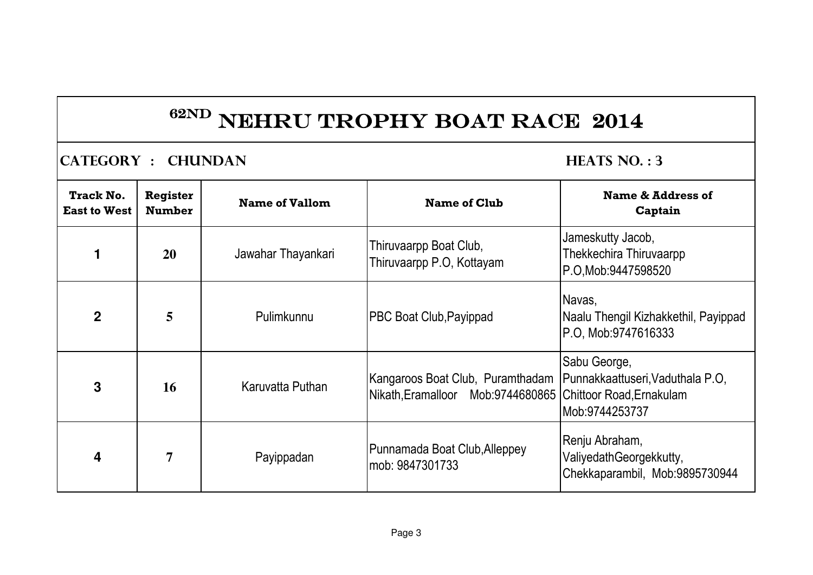**CATEGORY : CHUNDAN HEATS NO. : 3** 

| <b>Track No.</b><br><b>East to West</b> | <b>Register</b><br><b>Number</b> | <b>Name of Vallom</b> | <b>Name of Club</b>                                                                            | Name & Address of<br>Captain                                                |
|-----------------------------------------|----------------------------------|-----------------------|------------------------------------------------------------------------------------------------|-----------------------------------------------------------------------------|
|                                         | <b>20</b>                        | Jawahar Thayankari    | Thiruvaarpp Boat Club,<br>Thiruvaarpp P.O, Kottayam                                            | Jameskutty Jacob,<br>Thekkechira Thiruvaarpp<br>P.O.Mob:9447598520          |
| $\overline{2}$                          | 5                                | Pulimkunnu            | <b>PBC Boat Club, Payippad</b>                                                                 | Navas,<br>Naalu Thengil Kizhakkethil, Payippad<br>P.O. Mob:9747616333       |
| 3                                       | 16                               | Karuvatta Puthan      | Kangaroos Boat Club, Puramthadam<br>Nikath, Eramalloor Mob:9744680865 Chittoor Road, Ernakulam | Sabu George,<br>Punnakkaattuseri, Vaduthala P.O,<br>Mob:9744253737          |
| 4                                       | $\overline{7}$                   | Payippadan            | Punnamada Boat Club, Alleppey<br>mob: 9847301733                                               | Renju Abraham,<br>ValiyedathGeorgekkutty,<br>Chekkaparambil, Mob:9895730944 |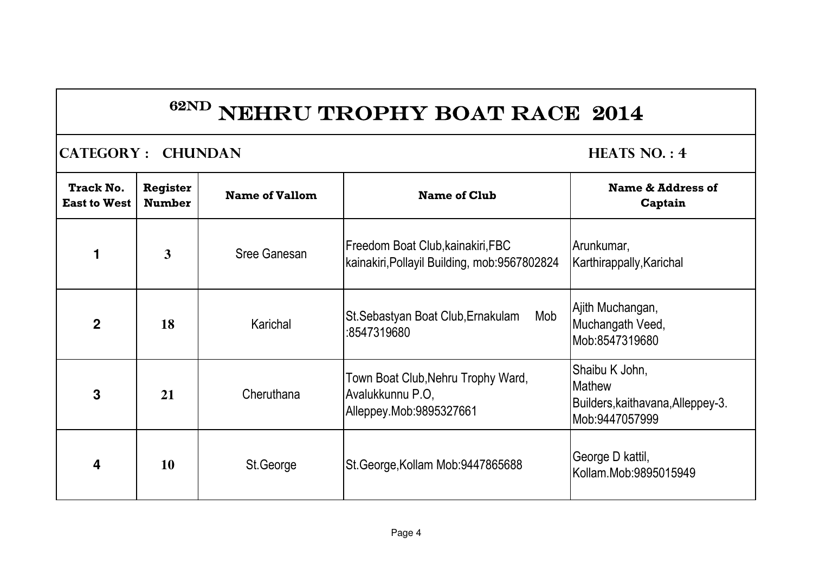### **CATEGORY : CHUNDAN HEATS NO. : 4**

| Track No.<br><b>East to West</b> | <b>Register</b><br><b>Number</b> | <b>Name of Vallom</b> | <b>Name of Club</b>                                                                | Name & Address of<br>Captain                                                           |
|----------------------------------|----------------------------------|-----------------------|------------------------------------------------------------------------------------|----------------------------------------------------------------------------------------|
| 1                                | 3                                | <b>Sree Ganesan</b>   | Freedom Boat Club, kainakiri, FBC<br>kainakiri, Pollayil Building, mob: 9567802824 | Arunkumar,<br>Karthirappally, Karichal                                                 |
| $\mathbf{2}$                     | 18                               | Karichal              | Mob<br>St. Sebastyan Boat Club, Ernakulam<br>:8547319680                           | Ajith Muchangan,<br>Muchangath Veed,<br>Mob:8547319680                                 |
| 3                                | 21                               | Cheruthana            | Town Boat Club, Nehru Trophy Ward,<br>Avalukkunnu P.O,<br>Alleppey.Mob:9895327661  | Shaibu K John,<br><b>Mathew</b><br>Builders, kaithavana, Alleppey-3.<br>Mob:9447057999 |
| 4                                | 10                               | St.George             | St.George, Kollam Mob: 9447865688                                                  | George D kattil,<br>Kollam.Mob:9895015949                                              |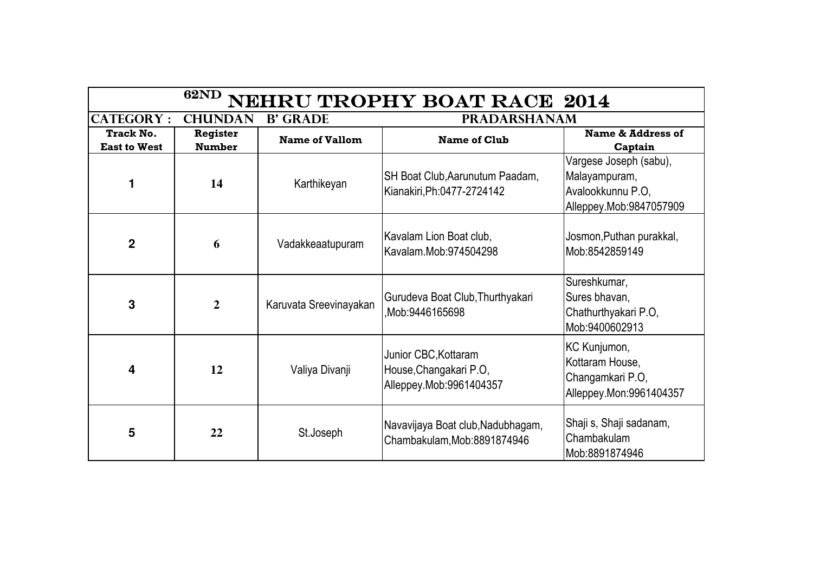| <b>62ND</b><br><b>VEHRU TROPHY BOAT RACE 2014</b>     |                           |                        |                                                                           |                                                                                         |  |
|-------------------------------------------------------|---------------------------|------------------------|---------------------------------------------------------------------------|-----------------------------------------------------------------------------------------|--|
| <b>CATEGORY:</b><br><b>CHUNDAN</b><br><b>B' GRADE</b> |                           |                        | <b>PRADARSHANAM</b>                                                       |                                                                                         |  |
| <b>Track No.</b><br><b>East to West</b>               | Register<br><b>Number</b> | <b>Name of Vallom</b>  | <b>Name of Club</b>                                                       | Name & Address of<br>Captain                                                            |  |
|                                                       | 14                        | Karthikeyan            | SH Boat Club, Aarunutum Paadam,<br>Kianakiri, Ph: 0477-2724142            | Vargese Joseph (sabu),<br>Malayampuram,<br>Avalookkunnu P.O.<br>Alleppey.Mob:9847057909 |  |
| $\overline{2}$                                        | 6                         | Vadakkeaatupuram       | Kavalam Lion Boat club,<br>Kavalam.Mob:974504298                          | Josmon,Puthan purakkal,<br>Mob:8542859149                                               |  |
| 3                                                     | $\overline{2}$            | Karuvata Sreevinayakan | Gurudeva Boat Club, Thurthyakari<br>Mob:9446165698                        | Sureshkumar,<br>Sures bhavan,<br>Chathurthyakari P.O,<br>Mob:9400602913                 |  |
| $\overline{\mathbf{4}}$                               | 12                        | Valiya Divanji         | Junior CBC, Kottaram<br>House, Changakari P.O,<br>Alleppey.Mob:9961404357 | KC Kunjumon,<br>Kottaram House,<br>Changamkari P.O,<br>Alleppey.Mon: 9961404357         |  |
| 5                                                     | 22                        | St.Joseph              | Navavijaya Boat club, Nadubhagam,<br>Chambakulam, Mob: 8891874946         | Shaji s, Shaji sadanam,<br>Chambakulam<br>Mob:8891874946                                |  |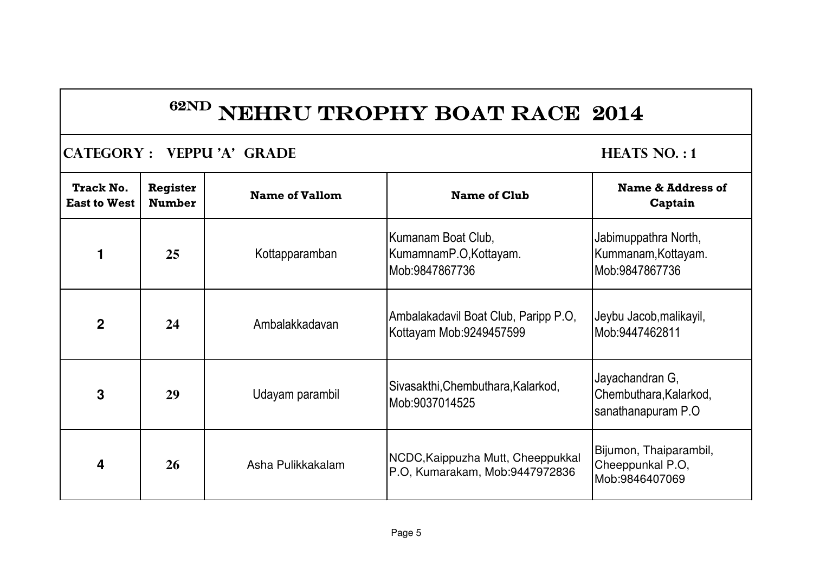### **CATEGORY : VEPPU 'A' GRADE HEATS NO. : 1**

| <b>Track No.</b><br><b>East to West</b> | <b>Register</b><br><b>Number</b> | <b>Name of Vallom</b> | <b>Name of Club</b>                                                 | <b>Name &amp; Address of</b><br>Captain                          |
|-----------------------------------------|----------------------------------|-----------------------|---------------------------------------------------------------------|------------------------------------------------------------------|
|                                         | 25                               | Kottapparamban        | Kumanam Boat Club,<br>KumamnamP.O,Kottayam.<br>Mob:9847867736       | Jabimuppathra North,<br>Kummanam, Kottayam.<br>Mob:9847867736    |
| $\mathbf 2$                             | 24                               | Ambalakkadavan        | Ambalakadavil Boat Club, Paripp P.O,<br>Kottayam Mob:9249457599     | Jeybu Jacob, malikayil,<br>Mob:9447462811                        |
| 3                                       | 29                               | Udayam parambil       | Sivasakthi, Chembuthara, Kalarkod,<br>Mob: 9037014525               | Jayachandran G,<br>Chembuthara, Kalarkod,<br>sanathanapuram P.O. |
| 4                                       | <b>26</b>                        | Asha Pulikkakalam     | NCDC, Kaippuzha Mutt, Cheeppukkal<br>P.O, Kumarakam, Mob:9447972836 | Bijumon, Thaiparambil,<br>Cheeppunkal P.O,<br>Mob:9846407069     |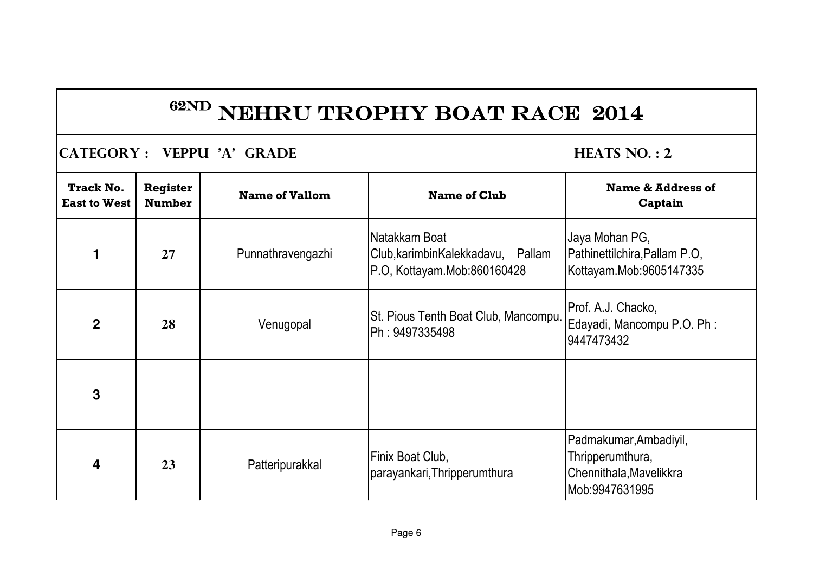### **CATEGORY : VEPPU 'A' GRADE HEATS NO. : 2**

| <b>Track No.</b><br><b>East to West</b> | <b>Register</b><br><b>Number</b> | <b>Name of Vallom</b> | <b>Name of Club</b>                                                                | <b>Name &amp; Address of</b><br>Captain                                                 |
|-----------------------------------------|----------------------------------|-----------------------|------------------------------------------------------------------------------------|-----------------------------------------------------------------------------------------|
|                                         | 27                               | Punnathravengazhi     | Natakkam Boat<br>Club, karimbin Kalekkadavu, Pallam<br>P.O, Kottayam.Mob:860160428 | Jaya Mohan PG,<br>Pathinettilchira, Pallam P.O.<br>Kottayam.Mob:9605147335              |
| $\mathbf 2$                             | 28                               | Venugopal             | St. Pious Tenth Boat Club, Mancompu.<br>Ph: 9497335498                             | Prof. A.J. Chacko,<br>Edayadi, Mancompu P.O. Ph:<br>9447473432                          |
| 3                                       |                                  |                       |                                                                                    |                                                                                         |
| 4                                       | 23                               | Patteripurakkal       | Finix Boat Club,<br>parayankari, Thripperumthura                                   | Padmakumar, Ambadiyil,<br>Thripperumthura,<br>Chennithala, Mavelikkra<br>Mob:9947631995 |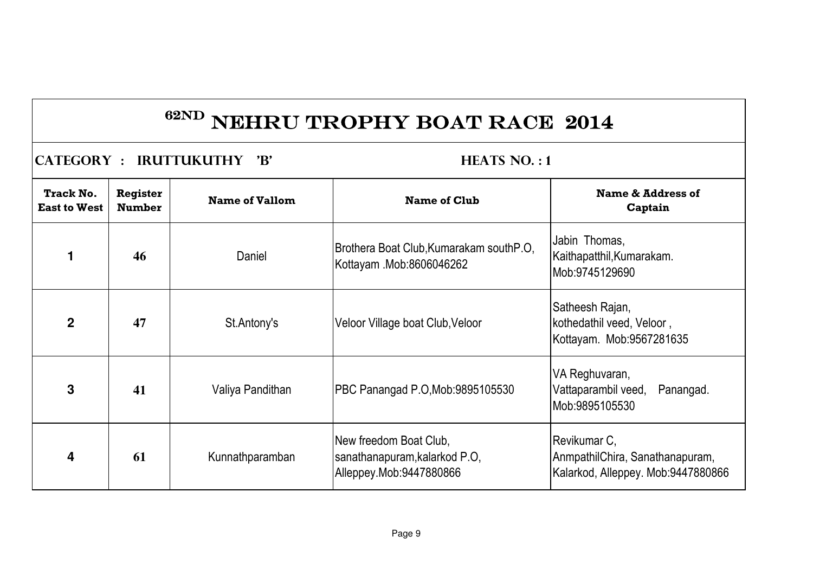| <b>CATEGORY : IRUTTUKUTHY</b><br>$\mathbf{B}'$ |                                  |                       | <b>HEATS NO.:1</b>                                                                 |                                                                                       |  |
|------------------------------------------------|----------------------------------|-----------------------|------------------------------------------------------------------------------------|---------------------------------------------------------------------------------------|--|
| <b>Track No.</b><br><b>East to West</b>        | <b>Register</b><br><b>Number</b> | <b>Name of Vallom</b> | <b>Name of Club</b>                                                                | Name & Address of<br>Captain                                                          |  |
| 1                                              | 46                               | Daniel                | Brothera Boat Club, Kumarakam south P.O.<br>Kottayam .Mob:8606046262               | Jabin Thomas,<br>Kaithapatthil, Kumarakam.<br>Mob:9745129690                          |  |
| $\mathbf 2$                                    | 47                               | St.Antony's           | Veloor Village boat Club, Veloor                                                   | Satheesh Rajan,<br>kothedathil veed, Veloor,<br>Kottayam. Mob:9567281635              |  |
| 3                                              | 41                               | Valiya Pandithan      | PBC Panangad P.O, Mob: 9895105530                                                  | VA Reghuvaran,<br>Vattaparambil veed,<br>Panangad.<br>lMob:9895105530                 |  |
| 4                                              | 61                               | Kunnathparamban       | New freedom Boat Club,<br>sanathanapuram, kalarkod P.O,<br>Alleppey.Mob:9447880866 | Revikumar C,<br>AnmpathilChira, Sanathanapuram,<br>Kalarkod, Alleppey. Mob:9447880866 |  |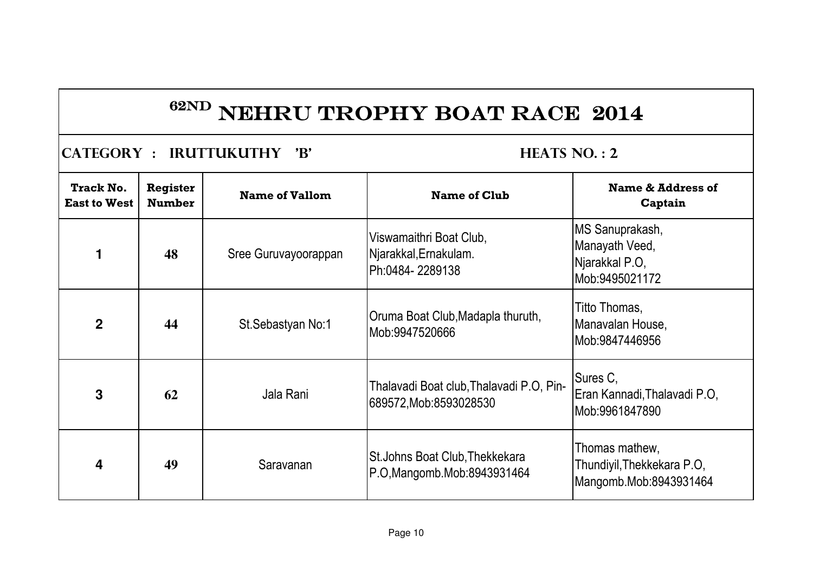### **CATEGORY : IRUTTUKUTHY 'B' HEATS NO. : 2**

| <b>Track No.</b><br><b>East to West</b> | <b>Register</b><br><b>Number</b> | <b>Name of Vallom</b> | <b>Name of Club</b>                                                     | Name & Address of<br>Captain                                           |
|-----------------------------------------|----------------------------------|-----------------------|-------------------------------------------------------------------------|------------------------------------------------------------------------|
|                                         | 48                               | Sree Guruvayoorappan  | Viswamaithri Boat Club,<br>Njarakkal, Ernakulam.<br>Ph:0484-2289138     | MS Sanuprakash,<br>Manayath Veed,<br>Njarakkal P.O,<br>Mob:9495021172  |
| $\mathbf 2$                             | 44                               | St. Sebastyan No: 1   | Oruma Boat Club, Madapla thuruth,<br>Mob:9947520666                     | Titto Thomas,<br>Manavalan House,<br>Mob: 9847446956                   |
| 3                                       | 62                               | Jala Rani             | Thalavadi Boat club, Thalavadi P.O, Pin-<br>689572, Mob: 8593028530     | Sures C,<br>Eran Kannadi, Thalavadi P.O.<br>Mob:9961847890             |
| 4                                       | 49                               | Saravanan             | <b>St. Johns Boat Club, Thekkekara</b><br>P.O, Mangomb. Mob: 8943931464 | Thomas mathew,<br>Thundiyil, Thekkekara P.O,<br>Mangomb.Mob:8943931464 |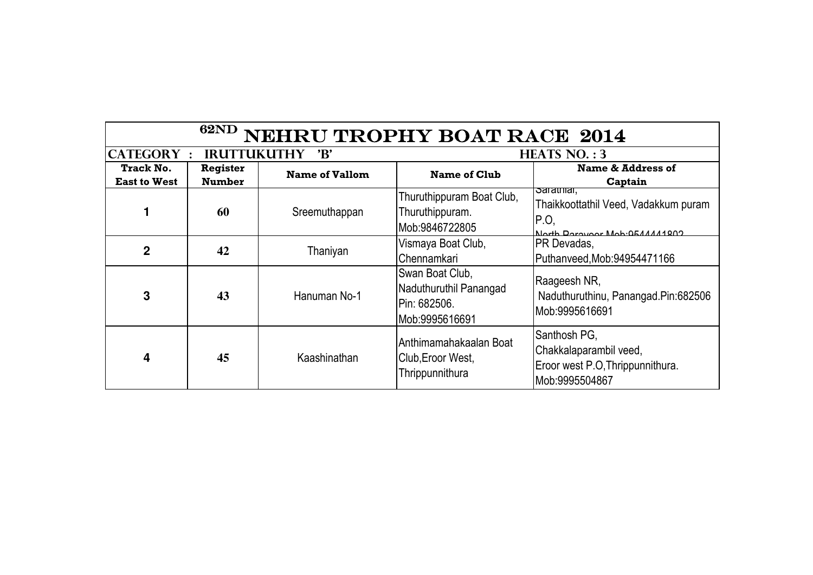| <b>62ND</b><br>NEHRU TROPHY BOAT RACE 2014 |                                  |                       |                                                                                     |                                                                                                       |  |
|--------------------------------------------|----------------------------------|-----------------------|-------------------------------------------------------------------------------------|-------------------------------------------------------------------------------------------------------|--|
| <b>CATEGORY:</b>                           | <b>IRUTTUKUTHY</b>               | $\mathbf{B}'$         |                                                                                     | <b>HEATS NO.: 3</b>                                                                                   |  |
| <b>Track No.</b><br><b>East to West</b>    | <b>Register</b><br><b>Number</b> | <b>Name of Vallom</b> | <b>Name of Club</b>                                                                 | Name & Address of<br>Captain                                                                          |  |
|                                            | 60                               | Sreemuthappan         | Thuruthippuram Boat Club,<br>Thuruthippuram.<br>Mob:9846722805                      | <del>Saratmar,</del><br>Thaikkoottathil Veed, Vadakkum puram<br>P.O.<br>North Parayoar Mah-0544444902 |  |
| $\mathbf 2$                                | 42                               | Thaniyan              | Vismaya Boat Club,<br>Chennamkari                                                   | PR Devadas,<br>Puthanveed, Mob: 94954471166                                                           |  |
| 3                                          | 43                               | Hanuman No-1          | Swan Boat Club,<br>Naduthuruthil Panangad<br><b>IPin: 682506.</b><br>Mob:9995616691 | Raageesh NR,<br>Naduthuruthinu, Panangad.Pin:682506<br>Mob:9995616691                                 |  |
| 4                                          | 45                               | Kaashinathan          | Anthimamahakaalan Boat<br>Club, Eroor West,<br>Thrippunnithura                      | Santhosh PG,<br>Chakkalaparambil veed,<br>Eroor west P.O, Thrippunnithura.<br>Mob:9995504867          |  |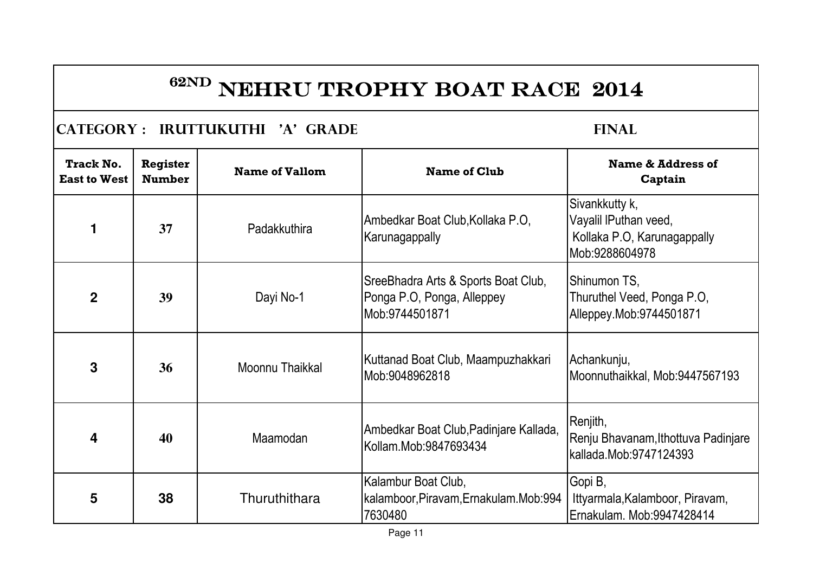### **CATEGORY : IRUTTUKUTHI 'A' GRADE FINAL**

| <b>Track No.</b><br><b>East to West</b> | <b>Register</b><br><b>Number</b> | <b>Name of Vallom</b> | <b>Name of Club</b>                                                                 | Name & Address of<br>Captain                                                             |
|-----------------------------------------|----------------------------------|-----------------------|-------------------------------------------------------------------------------------|------------------------------------------------------------------------------------------|
|                                         | 37                               | Padakkuthira          | Ambedkar Boat Club, Kollaka P.O,<br>Karunagappally                                  | Sivankkutty k,<br>Vayalil IPuthan veed,<br>Kollaka P.O, Karunagappally<br>Mob:9288604978 |
| $\mathbf 2$                             | 39                               | Dayi No-1             | SreeBhadra Arts & Sports Boat Club,<br>Ponga P.O, Ponga, Alleppey<br>Mob:9744501871 | Shinumon TS,<br>Thuruthel Veed, Ponga P.O,<br>Alleppey.Mob:9744501871                    |
| 3                                       | 36                               | Moonnu Thaikkal       | Kuttanad Boat Club, Maampuzhakkari<br>Mob:9048962818                                | Achankunju,<br>Moonnuthaikkal, Mob:9447567193                                            |
| 4                                       | 40                               | Maamodan              | Ambedkar Boat Club, Padinjare Kallada,<br>Kollam.Mob:9847693434                     | Renjith,<br>Renju Bhavanam, Ithottuva Padinjare<br>kallada.Mob:9747124393                |
| 5                                       | 38                               | Thuruthithara         | Kalambur Boat Club,<br>kalamboor, Piravam, Ernakulam. Mob: 994<br>7630480           | Gopi B,<br>Ittyarmala, Kalamboor, Piravam,<br>Ernakulam. Mob:9947428414                  |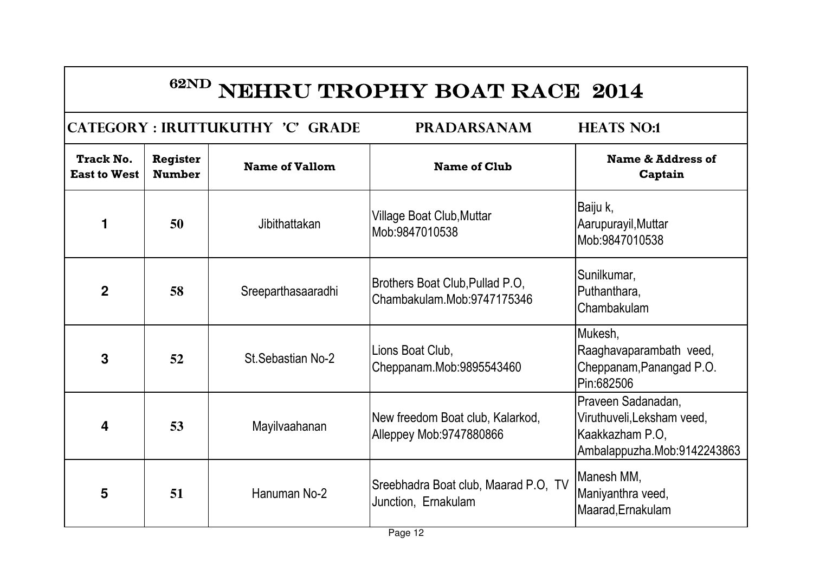|                                         |                                  | CATEGORY : IRUTTUKUTHY 'C' GRADE | <b>PRADARSANAM</b>                                            | <b>HEATS NO:1</b>                                                                                  |
|-----------------------------------------|----------------------------------|----------------------------------|---------------------------------------------------------------|----------------------------------------------------------------------------------------------------|
| <b>Track No.</b><br><b>East to West</b> | <b>Register</b><br><b>Number</b> | <b>Name of Vallom</b>            | <b>Name of Club</b>                                           | <b>Name &amp; Address of</b><br>Captain                                                            |
| 1                                       | 50                               | Jibithattakan                    | Village Boat Club, Muttar<br>Mob:9847010538                   | Baiju k,<br>Aarupurayil, Muttar<br>Mob:9847010538                                                  |
| $\overline{2}$                          | 58                               | Sreeparthasaaradhi               | Brothers Boat Club, Pullad P.O.<br>Chambakulam.Mob:9747175346 | Sunilkumar,<br>Puthanthara,<br>Chambakulam                                                         |
| 3                                       | 52                               | St. Sebastian No-2               | Lions Boat Club,<br>Cheppanam.Mob:9895543460                  | Mukesh,<br>Raaghavaparambath veed,<br>Cheppanam, Panangad P.O.<br>Pin:682506                       |
| 4                                       | 53                               | Mayilvaahanan                    | New freedom Boat club, Kalarkod,<br>Alleppey Mob: 9747880866  | Praveen Sadanadan,<br>Viruthuveli, Leksham veed,<br>Kaakkazham P.O.<br>Ambalappuzha.Mob:9142243863 |
| 5                                       | 51                               | Hanuman No-2                     | Sreebhadra Boat club, Maarad P.O, TV<br>Junction, Ernakulam   | Manesh MM,<br>Maniyanthra veed,<br>Maarad, Ernakulam                                               |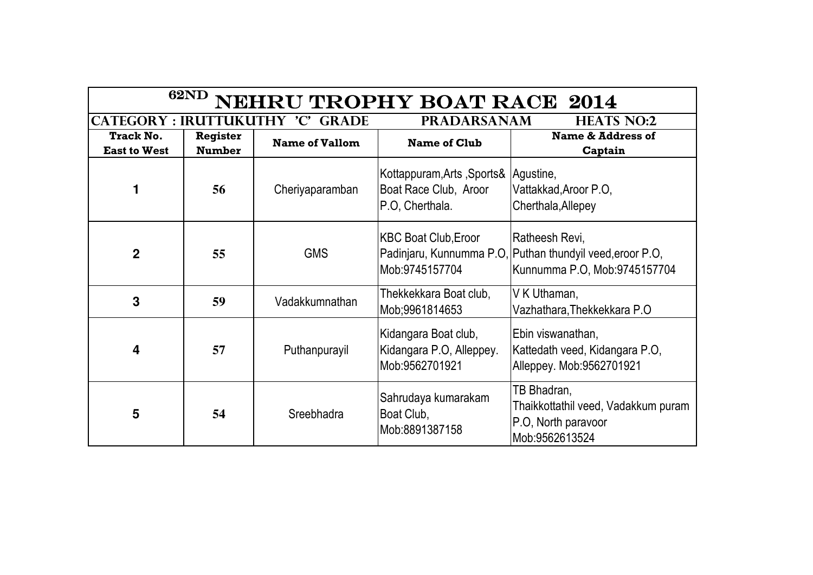| <b>62ND</b><br>NEHRU TROPHY BOAT RACE 2014 |                                                                                       |                       |                                                                                  |                                                                                                             |  |
|--------------------------------------------|---------------------------------------------------------------------------------------|-----------------------|----------------------------------------------------------------------------------|-------------------------------------------------------------------------------------------------------------|--|
|                                            | <b>PRADARSANAM</b><br>CATEGORY : IRUTTUKUTHY 'C'<br><b>GRADE</b><br><b>HEATS NO:2</b> |                       |                                                                                  |                                                                                                             |  |
| <b>Track No.</b><br><b>East to West</b>    | <b>Register</b><br><b>Number</b>                                                      | <b>Name of Vallom</b> | <b>Name of Club</b>                                                              | <b>Name &amp; Address of</b><br>Captain                                                                     |  |
| 1                                          | 56                                                                                    | Cheriyaparamban       | Kottappuram, Arts, Sports& Agustine,<br>Boat Race Club, Aroor<br>P.O. Cherthala. | Vattakkad, Aroor P.O.<br>Cherthala, Allepey                                                                 |  |
| $\overline{2}$                             | 55                                                                                    | <b>GMS</b>            | <b>KBC Boat Club, Eroor</b><br>Mob: 9745157704                                   | Ratheesh Revi,<br>Padinjaru, Kunnumma P.O, Puthan thundyil veed, eroor P.O,<br>Kunnumma P.O, Mob:9745157704 |  |
| 3                                          | 59                                                                                    | Vadakkumnathan        | Thekkekkara Boat club,<br>Mob;9961814653                                         | V K Uthaman,<br>Vazhathara, Thekkekkara P.O.                                                                |  |
| 4                                          | 57                                                                                    | Puthanpurayil         | Kidangara Boat club,<br>Kidangara P.O, Alleppey.<br>Mob:9562701921               | Ebin viswanathan,<br>Kattedath veed, Kidangara P.O,<br>Alleppey. Mob:9562701921                             |  |
| 5                                          | 54                                                                                    | Sreebhadra            | Sahrudaya kumarakam<br>Boat Club,<br>Mob:8891387158                              | TB Bhadran,<br>Thaikkottathil veed, Vadakkum puram<br>P.O, North paravoor<br>Mob: 9562613524                |  |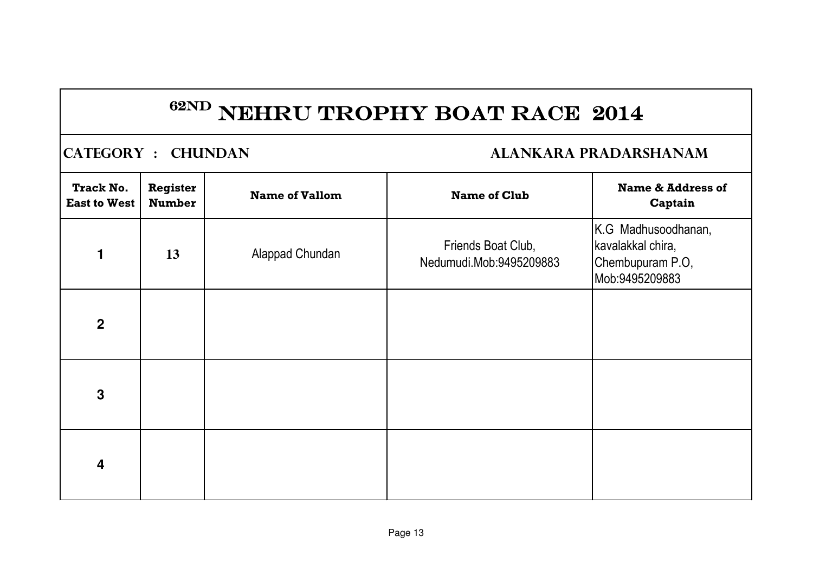### **CATEGORY : CHUNDAN ALANKARA PRADARSHANAM**

| <b>Track No.</b><br><b>East to West</b> | Register<br><b>Number</b> | <b>Name of Vallom</b> | <b>Name of Club</b>                           | <b>Name &amp; Address of</b><br>Captain                                        |
|-----------------------------------------|---------------------------|-----------------------|-----------------------------------------------|--------------------------------------------------------------------------------|
| $\blacksquare$                          | 13                        | Alappad Chundan       | Friends Boat Club,<br>Nedumudi.Mob:9495209883 | K.G Madhusoodhanan,<br>kavalakkal chira,<br>Chembupuram P.O,<br>Mob:9495209883 |
| $\mathbf 2$                             |                           |                       |                                               |                                                                                |
| $\mathbf{3}$                            |                           |                       |                                               |                                                                                |
| $\overline{\mathbf{4}}$                 |                           |                       |                                               |                                                                                |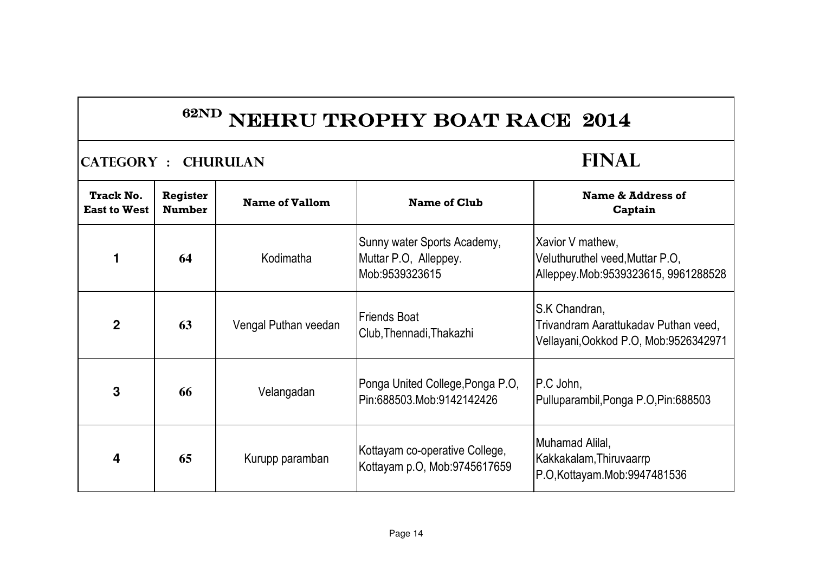$\begin{bmatrix} \text{CATEGORY} : \text{CHURULAR} \\ \text{CATEGORY} : \text{CHURULAR} \end{bmatrix}$ 

| Track No.<br><b>East to West</b> | <b>Register</b><br><b>Number</b> | <b>Name of Vallom</b> | <b>Name of Club</b>                                                    | <b>Name &amp; Address of</b><br>Captain                                                        |
|----------------------------------|----------------------------------|-----------------------|------------------------------------------------------------------------|------------------------------------------------------------------------------------------------|
|                                  | 64                               | Kodimatha             | Sunny water Sports Academy,<br>Muttar P.O. Alleppey.<br>Mob:9539323615 | Xavior V mathew,<br>Veluthuruthel veed, Muttar P.O.<br>Alleppey.Mob:9539323615, 9961288528     |
| $\overline{2}$                   | 63                               | Vengal Puthan veedan  | <b>Friends Boat</b><br>Club, Thennadi, Thakazhi                        | S.K Chandran,<br>Trivandram Aarattukadav Puthan veed,<br>Vellayani, Ookkod P.O, Mob:9526342971 |
| 3                                | 66                               | Velangadan            | Ponga United College, Ponga P.O.<br>Pin:688503.Mob:9142142426          | IP.C John.<br>Pulluparambil, Ponga P.O, Pin: 688503                                            |
| 4                                | 65                               | Kurupp paramban       | Kottayam co-operative College,<br>Kottayam p.O, Mob:9745617659         | Muhamad Alilal,<br>Kakkakalam,Thiruvaarrp<br>P.O.Kottayam.Mob:9947481536                       |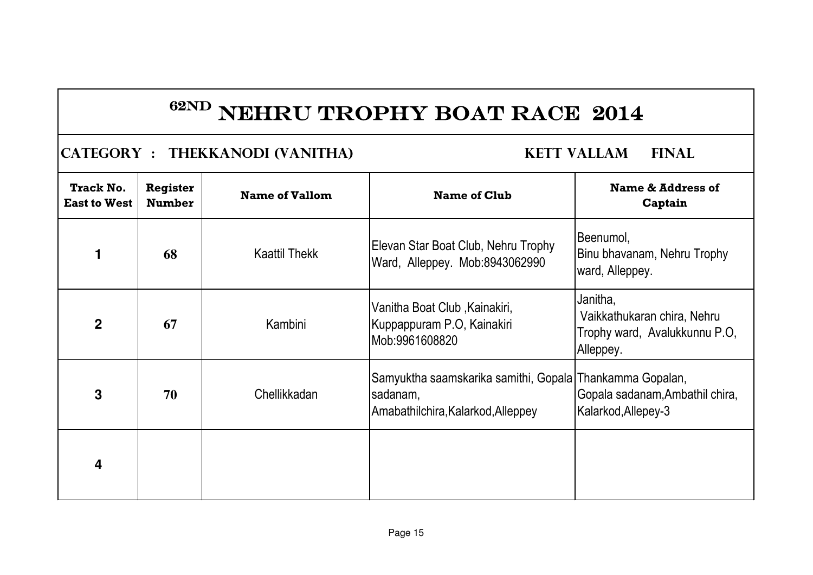### **CATEGORY : THEKKANODI (VANITHA) KETT VALLAM FINAL**

| <b>Track No.</b><br><b>East to West</b> | <b>Register</b><br><b>Number</b> | <b>Name of Vallom</b> | <b>Name of Club</b>                                                                                        | Name & Address of<br>Captain                                                          |
|-----------------------------------------|----------------------------------|-----------------------|------------------------------------------------------------------------------------------------------------|---------------------------------------------------------------------------------------|
|                                         | 68                               | <b>Kaattil Thekk</b>  | Elevan Star Boat Club, Nehru Trophy<br>Ward, Alleppey. Mob:8943062990                                      | Beenumol,<br>Binu bhavanam, Nehru Trophy<br>ward, Alleppey.                           |
| $\overline{2}$                          | 67                               | Kambini               | Vanitha Boat Club, Kainakiri,<br>Kuppappuram P.O, Kainakiri<br>Mob:9961608820                              | Janitha,<br>Vaikkathukaran chira, Nehru<br>Trophy ward, Avalukkunnu P.O,<br>Alleppey. |
| 3                                       | 70                               | Chellikkadan          | Samyuktha saamskarika samithi, Gopala Thankamma Gopalan,<br>sadanam,<br>Amabathilchira, Kalarkod, Alleppey | Gopala sadanam, Ambathil chira,<br>Kalarkod, Allepey-3                                |
| 4                                       |                                  |                       |                                                                                                            |                                                                                       |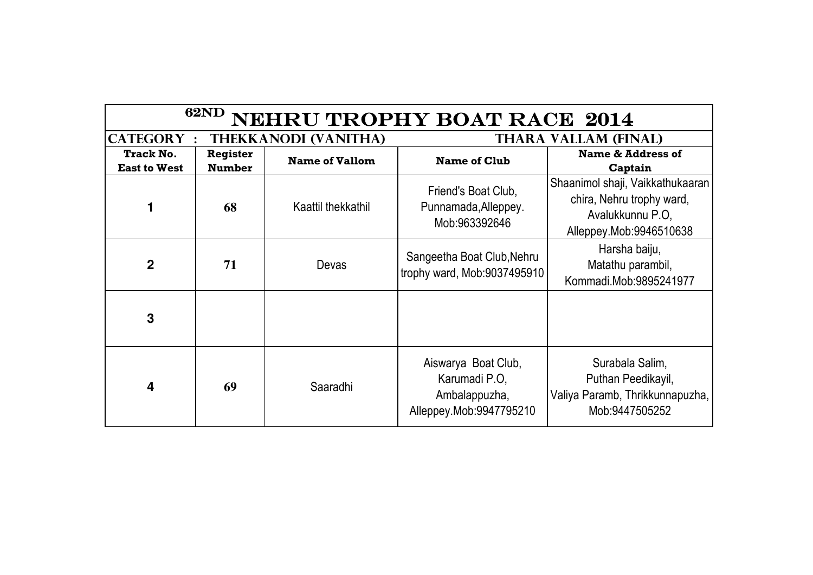| <b>62ND</b><br>NEHRU TROPHY BOAT RACE 2014 |                                  |                             |                                                                                  |                                                                                                              |
|--------------------------------------------|----------------------------------|-----------------------------|----------------------------------------------------------------------------------|--------------------------------------------------------------------------------------------------------------|
| <b>CATEGORY:</b>                           |                                  | <b>THEKKANODI (VANITHA)</b> |                                                                                  | <b>THARA VALLAM (FINAL)</b>                                                                                  |
| <b>Track No.</b><br><b>East to West</b>    | <b>Register</b><br><b>Number</b> | <b>Name of Vallom</b>       | <b>Name of Club</b>                                                              | <b>Name &amp; Address of</b><br>Captain                                                                      |
|                                            | 68                               | Kaattil thekkathil          | Friend's Boat Club.<br>Punnamada, Alleppey.<br>Mob:963392646                     | Shaanimol shaji, Vaikkathukaaran<br>chira, Nehru trophy ward,<br>Avalukkunnu P.O.<br>Alleppey.Mob:9946510638 |
| $\overline{2}$                             | 71                               | Devas                       | Sangeetha Boat Club, Nehru<br>trophy ward, Mob:9037495910                        | Harsha baiju,<br>Matathu parambil,<br>Kommadi.Mob:9895241977                                                 |
| 3                                          |                                  |                             |                                                                                  |                                                                                                              |
| 4                                          | 69                               | Saaradhi                    | Aiswarya Boat Club,<br>Karumadi P.O.<br>Ambalappuzha,<br>Alleppey.Mob:9947795210 | Surabala Salim,<br>Puthan Peedikayil,<br>Valiya Paramb, Thrikkunnapuzha,<br>Mob:9447505252                   |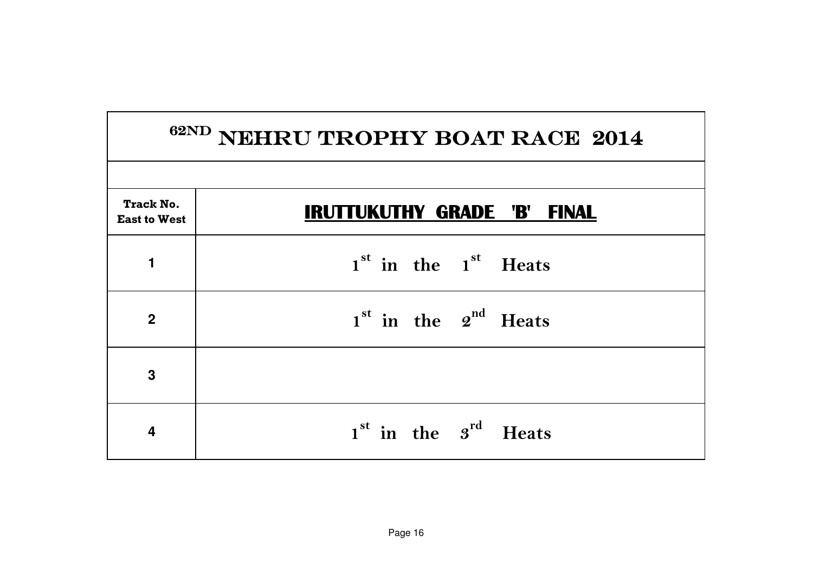| <sup>62ND</sup> NEHRU TROPHY BOAT RACE 2014 |                                    |  |
|---------------------------------------------|------------------------------------|--|
|                                             |                                    |  |
| <b>Track No.</b><br><b>East to West</b>     | <b>IRUTTUKUTHY GRADE 'B' FINAL</b> |  |
| 1                                           | $1st$ in the $1st$ Heats           |  |
| $\overline{2}$                              | $1st$ in the $2nd$ Heats           |  |
| 3                                           |                                    |  |
| 4                                           | $1st$ in the $3rd$ Heats           |  |

٦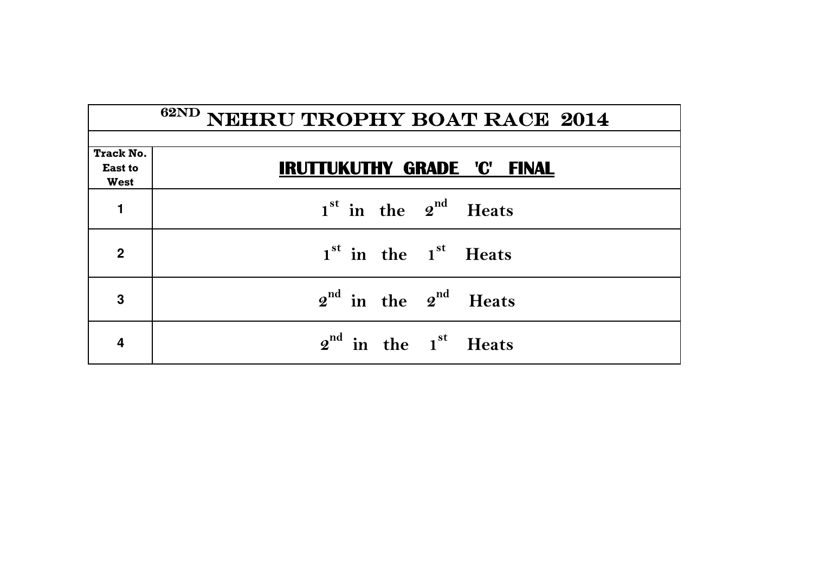| <b>Track No.</b><br><b>East to</b><br><b>West</b> | <b>IRUTTUKUTHY GRADE 'C' FINAL</b>           |
|---------------------------------------------------|----------------------------------------------|
| $\blacksquare$                                    | $1st$ in the $2nd$ Heats                     |
| $\overline{2}$                                    | 1 <sup>st</sup> in the 1 <sup>st</sup> Heats |
| 3                                                 | $2^{nd}$ in the $2^{nd}$ Heats               |
|                                                   | $2nd$ in the $1st$ Heats                     |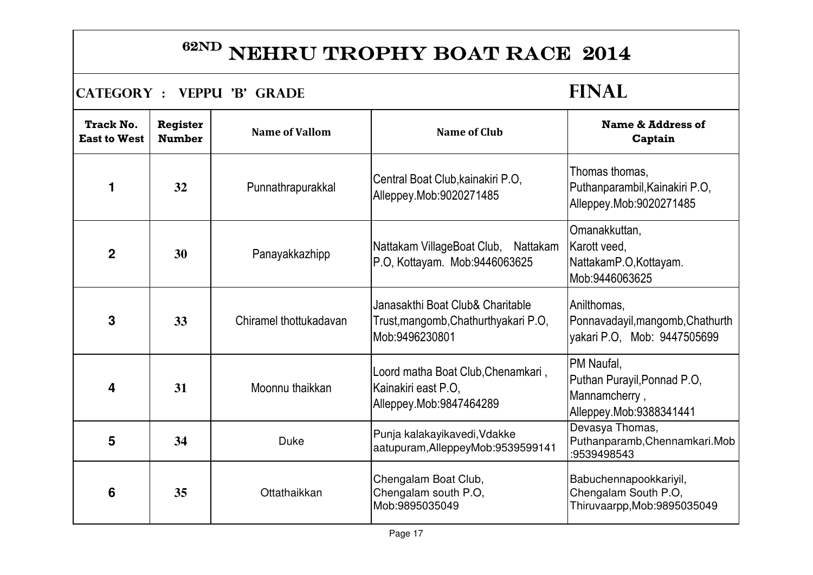### $\begin{bmatrix} \text{CATEGORY} : \text{VEPPU } 'B' \text{ GRADE} \end{bmatrix}$

| <b>Track No.</b><br><b>East to West</b> | <b>Register</b><br><b>Number</b> | <b>Name of Vallom</b>  | <b>Name of Club</b>                                                                        | <b>Name &amp; Address of</b><br>Captain                                               |
|-----------------------------------------|----------------------------------|------------------------|--------------------------------------------------------------------------------------------|---------------------------------------------------------------------------------------|
| 1                                       | 32                               | Punnathrapurakkal      | Central Boat Club, kainakiri P.O.<br>Alleppey.Mob:9020271485                               | Thomas thomas.<br>Puthanparambil, Kainakiri P.O.<br>Alleppey.Mob:9020271485           |
| $\overline{2}$                          | 30                               | Panayakkazhipp         | Nattakam VillageBoat Club, Nattakam<br>P.O, Kottayam. Mob:9446063625                       | Omanakkuttan,<br>Karott veed,<br>NattakamP.O, Kottayam.<br>Mob:9446063625             |
| 3                                       | 33                               | Chiramel thottukadavan | Janasakthi Boat Club& Charitable<br>Trust, mangomb, Chathurthyakari P.O,<br>Mob:9496230801 | Anilthomas,<br>Ponnavadayil, mangomb, Chathurth<br>yakari P.O, Mob: 9447505699        |
| 4                                       | 31                               | Moonnu thaikkan        | Loord matha Boat Club, Chenamkari,<br>Kainakiri east P.O.<br>Alleppey.Mob:9847464289       | PM Naufal,<br>Puthan Purayil, Ponnad P.O,<br>Mannamcherry,<br>Alleppey.Mob:9388341441 |
| 5                                       | 34                               | <b>Duke</b>            | Punja kalakayikavedi, Vdakke<br>aatupuram, AlleppeyMob: 9539599141                         | Devasya Thomas,<br>Puthanparamb, Chennamkari. Mob<br>:9539498543                      |
| 6                                       | 35                               | Ottathaikkan           | Chengalam Boat Club,<br>Chengalam south P.O,<br>Mob:9895035049                             | Babuchennapookkariyil,<br>Chengalam South P.O,<br>Thiruvaarpp, Mob: 9895035049        |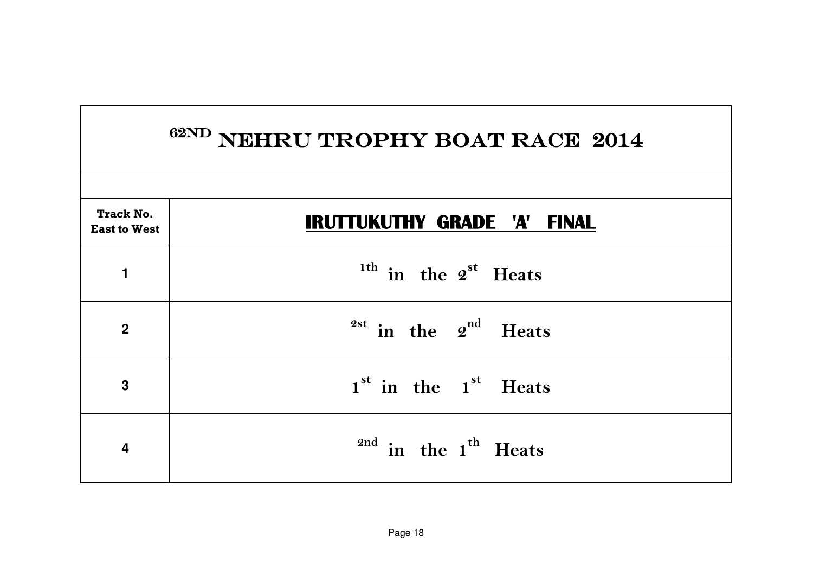|                                         | <sup>62ND</sup> NEHRU TROPHY BOAT RACE 2014  |
|-----------------------------------------|----------------------------------------------|
| <b>Track No.</b><br><b>East to West</b> | <b>IRUTTUKUTHY GRADE 'A'</b><br><b>FINAL</b> |
| 1                                       | $1th$ in the $2st$ Heats                     |
| $\overline{2}$                          | $2^{st}$ in the $2^{nd}$ Heats               |
| 3                                       | $1st$ in the $1st$ Heats                     |
| 4                                       | $^{2nd}$ in the 1 <sup>th</sup> Heats        |

 $\mathbf{I}$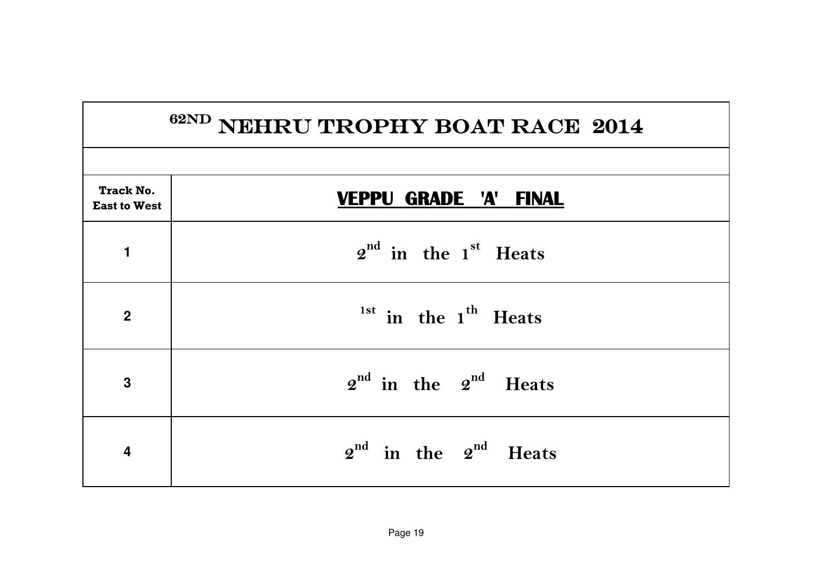|                                         | <sup>62ND</sup> NEHRU TROPHY BOAT RACE 2014 |
|-----------------------------------------|---------------------------------------------|
|                                         |                                             |
| <b>Track No.</b><br><b>East to West</b> | <b>VEPPU GRADE 'A' FINAL</b>                |
| 1                                       | $2nd$ in the 1 <sup>st</sup> Heats          |
| $\overline{2}$                          | $1st$ in the $1th$ Heats                    |
| 3                                       | $2^{nd}$ in the $2^{nd}$ Heats              |
| $\overline{\mathbf{4}}$                 | $2^{nd}$ in the $2^{nd}$ Heats              |

Г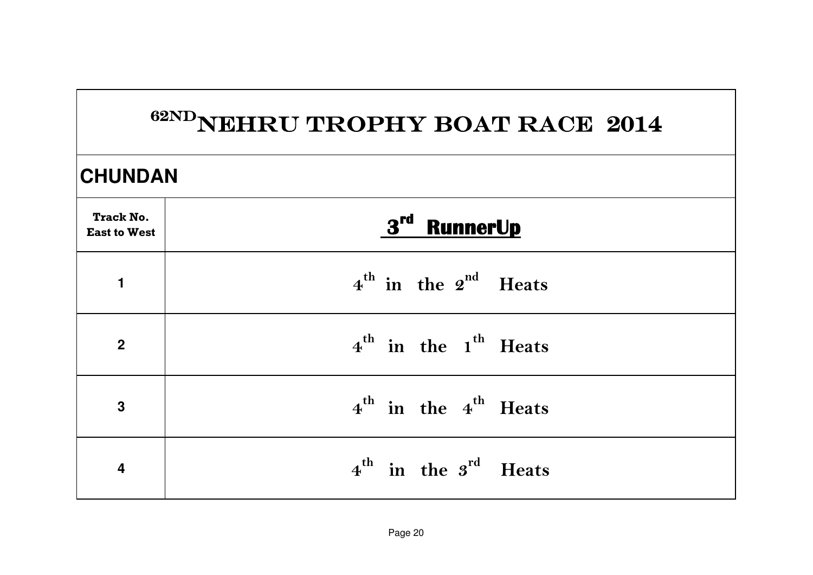|                                         | 62NDNEHRU TROPHY BOAT RACE 2014              |  |  |  |
|-----------------------------------------|----------------------------------------------|--|--|--|
|                                         | <b>CHUNDAN</b>                               |  |  |  |
| <b>Track No.</b><br><b>East to West</b> | 3rd RunnerUp                                 |  |  |  |
| 1                                       | $4^{\text{th}}$ in the $2^{\text{nd}}$ Heats |  |  |  |
| $\overline{2}$                          | $4^{\text{th}}$ in the 1 <sup>th</sup> Heats |  |  |  |
| $\overline{3}$                          | $4^{\text{th}}$ in the $4^{\text{th}}$ Heats |  |  |  |
| $\overline{\mathbf{4}}$                 | $4^{\text{th}}$ in the $3^{\text{rd}}$ Heats |  |  |  |

 $\mathbf{L}$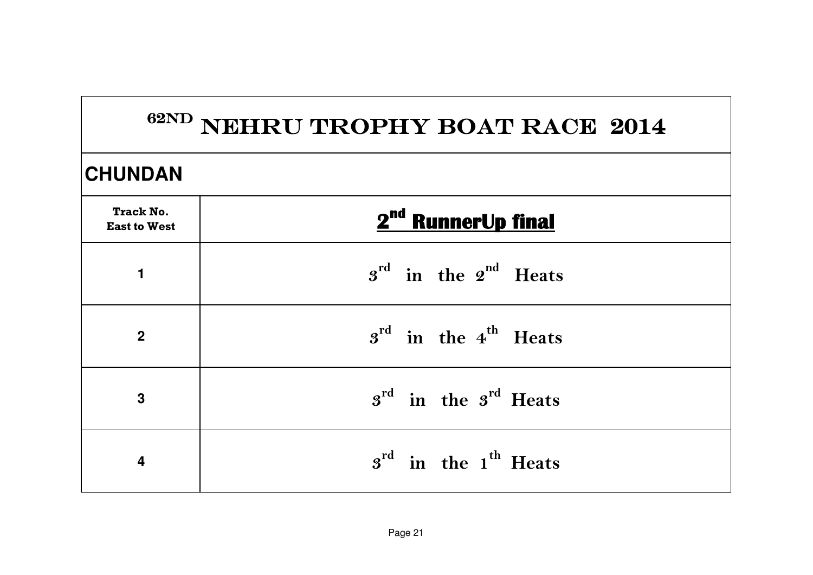|                                         | 62ND NEHRU TROPHY BOAT RACE 2014             |  |  |
|-----------------------------------------|----------------------------------------------|--|--|
| <b>CHUNDAN</b>                          |                                              |  |  |
| <b>Track No.</b><br><b>East to West</b> | 2 <sup>nd</sup> RunnerUp final               |  |  |
| 1                                       | $3^{\text{rd}}$ in the $2^{\text{nd}}$ Heats |  |  |
| $\overline{2}$                          | $3^{\text{rd}}$ in the 4 <sup>th</sup> Heats |  |  |
| 3                                       | $s^{rd}$ in the $s^{rd}$ Heats               |  |  |
| 4                                       | $s^{rd}$ in the 1 <sup>th</sup> Heats        |  |  |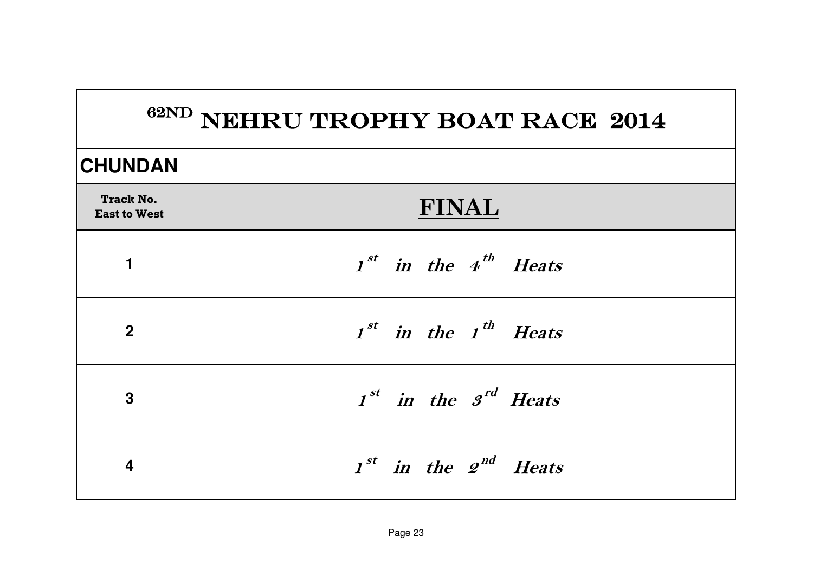### **CHUNDAN**

| <b>Track No.</b><br><b>East to West</b> | <b>FINAL</b>                       |
|-----------------------------------------|------------------------------------|
| 1                                       | $Ist$ in the 4 <sup>th</sup> Heats |
| $\boldsymbol{2}$                        | $Ist$ in the $Ith$ Heats           |
| $\mathbf{3}$                            | $Ist$ in the $Ird$ Heats           |
| 4                                       | $Ist$ in the $2nd$ Heats           |